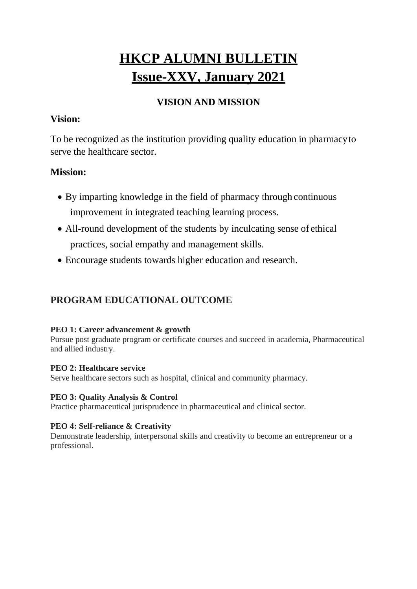# **HKCP ALUMNI BULLETIN Issue-XXV, January 2021**

# **VISION AND MISSION**

## **Vision:**

To be recognized as the institution providing quality education in pharmacyto serve the healthcare sector.

# **Mission:**

- By imparting knowledge in the field of pharmacy through continuous improvement in integrated teaching learning process.
- All-round development of the students by inculcating sense of ethical practices, social empathy and management skills.
- Encourage students towards higher education and research.

# **PROGRAM EDUCATIONAL OUTCOME**

#### **PEO 1: Career advancement & growth**

Pursue post graduate program or certificate courses and succeed in academia, Pharmaceutical and allied industry.

#### **PEO 2: Healthcare service**

Serve healthcare sectors such as hospital, clinical and community pharmacy.

#### **PEO 3: Quality Analysis & Control**

Practice pharmaceutical jurisprudence in pharmaceutical and clinical sector.

#### **PEO 4: Self-reliance & Creativity**

Demonstrate leadership, interpersonal skills and creativity to become an entrepreneur or a professional.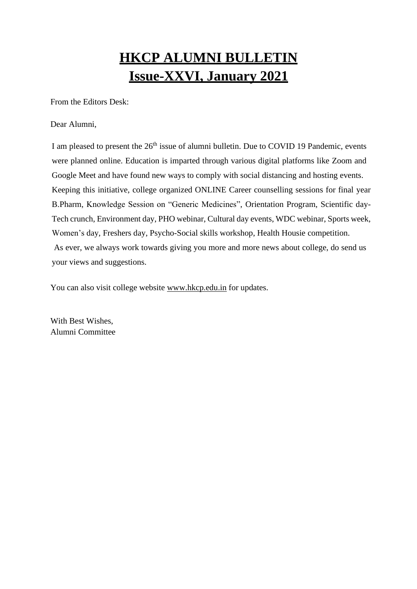# **HKCP ALUMNI BULLETIN Issue-XXVI, January 2021**

From the Editors Desk:

Dear Alumni,

I am pleased to present the 26<sup>th</sup> issue of alumni bulletin. Due to COVID 19 Pandemic, events were planned online. Education is imparted through various digital platforms like Zoom and Google Meet and have found new ways to comply with social distancing and hosting events. Keeping this initiative, college organized ONLINE Career counselling sessions for final year B.Pharm, Knowledge Session on "Generic Medicines", Orientation Program, Scientific day-Tech crunch, Environment day, PHO webinar, Cultural day events, WDC webinar, Sports week, Women's day, Freshers day, Psycho-Social skills workshop, Health Housie competition. As ever, we always work towards giving you more and more news about college, do send us your views and suggestions.

You can also visit college website [www.hkcp.edu.in](http://www.hkcp.edu.in/) for updates.

With Best Wishes, Alumni Committee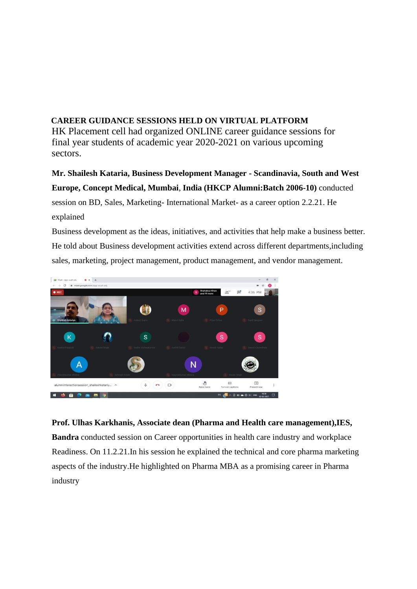## **CAREER GUIDANCE SESSIONS HELD ON VIRTUAL PLATFORM** HK Placement cell had organized ONLINE career guidance sessions for final year students of academic year 2020-2021 on various upcoming sectors.

**Mr. Shailesh Kataria, Business Development Manager - Scandinavia, South and West Europe, Concept Medical, Mumbai**, **India (HKCP Alumni:Batch 2006-10)** conducted session on BD, Sales, Marketing- International Market- as a career option 2.2.21. He explained

Business development as the ideas, initiatives, and activities that help make a business better. He told about Business development activities extend across different departments,including sales, marketing, project management, product management, and vendor management.



#### **Prof. Ulhas Karkhanis, Associate dean (Pharma and Health care management),IES,**

**Bandra** conducted session on Career opportunities in health care industry and workplace Readiness. On 11.2.21.In his session he explained the technical and core pharma marketing aspects of the industry.He highlighted on Pharma MBA as a promising career in Pharma industry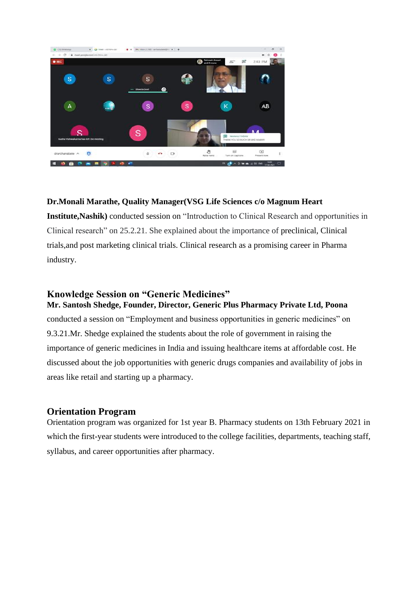

#### **Dr.Monali Marathe, Quality Manager(VSG Life Sciences c/o Magnum Heart**

**Institute,Nashik)** conducted session on "Introduction to Clinical Research and opportunities in Clinical research" on 25.2.21. She explained about the importance of preclinical, Clinical trials,and post marketing clinical trials. Clinical research as a promising career in Pharma industry.

#### **Knowledge Session on "Generic Medicines" Mr. Santosh Shedge, Founder, Director, Generic Plus Pharmacy Private Ltd, Poona**

conducted a session on "Employment and business opportunities in generic medicines" on 9.3.21.Mr. Shedge explained the students about the role of government in raising the importance of generic medicines in India and issuing healthcare items at affordable cost. He discussed about the job opportunities with generic drugs companies and availability of jobs in areas like retail and starting up a pharmacy.

### **Orientation Program**

Orientation program was organized for 1st year B. Pharmacy students on 13th February 2021 in which the first-year students were introduced to the college facilities, departments, teaching staff, syllabus, and career opportunities after pharmacy.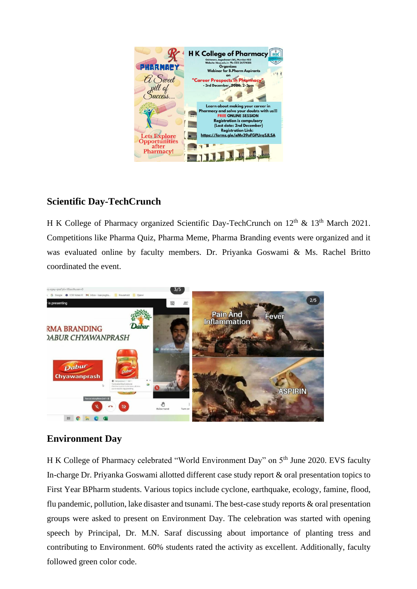

## **Scientific Day-TechCrunch**

H K College of Pharmacy organized Scientific Day-TechCrunch on 12<sup>th</sup> & 13<sup>th</sup> March 2021. Competitions like Pharma Quiz, Pharma Meme, Pharma Branding events were organized and it was evaluated online by faculty members. Dr. Priyanka Goswami & Ms. Rachel Britto coordinated the event.



## **Environment Day**

H K College of Pharmacy celebrated "World Environment Day" on 5<sup>th</sup> June 2020. EVS faculty In-charge Dr. Priyanka Goswami allotted different case study report & oral presentation topics to First Year BPharm students. Various topics include cyclone, earthquake, ecology, famine, flood, flu pandemic, pollution, lake disaster and tsunami. The best-case study reports & oral presentation groups were asked to present on Environment Day. The celebration was started with opening speech by Principal, Dr. M.N. Saraf discussing about importance of planting tress and contributing to Environment. 60% students rated the activity as excellent. Additionally, faculty followed green color code.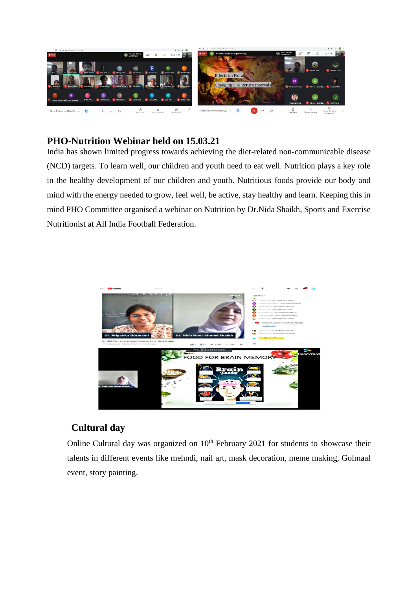

## **PHO-Nutrition Webinar held on 15.03.21**

India has shown limited progress towards achieving the diet-related non-communicable disease (NCD) targets. To learn well, our children and youth need to eat well. Nutrition plays a key role in the healthy development of our children and youth. Nutritious foods provide our body and mind with the energy needed to grow, feel well, be active, stay healthy and learn. Keeping this in mind PHO Committee organised a webinar on Nutrition by Dr.Nida Shaikh, Sports and Exercise Nutritionist at All India Football Federation.



## **Cultural day**

Online Cultural day was organized on  $10<sup>th</sup>$  February 2021 for students to showcase their talents in different events like mehndi, nail art, mask decoration, meme making, Golmaal event, story painting.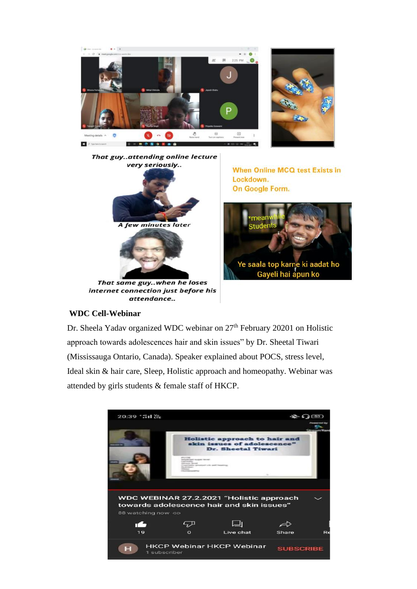



When Online MCQ test Exists in Lockdown. On Google Form.



#### **WDC Cell-Webinar**

Dr. Sheela Yadav organized WDC webinar on 27<sup>th</sup> February 20201 on Holistic approach towards adolescences hair and skin issues" by Dr. Sheetal Tiwari (Mississauga Ontario, Canada). Speaker explained about POCS, stress level, Ideal skin & hair care, Sleep, Holistic approach and homeopathy. Webinar was attended by girls students & female staff of HKCP.

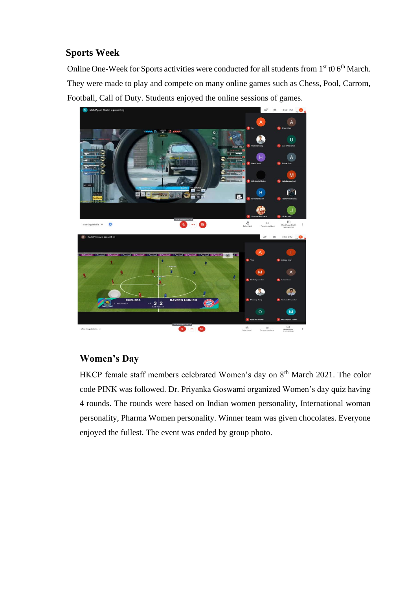## **Sports Week**

Online One-Week for Sports activities were conducted for all students from  $1<sup>st</sup>$  t0 6<sup>th</sup> March. They were made to play and compete on many online games such as Chess, Pool, Carrom, Football, Call of Duty. Students enjoyed the online sessions of games.



## **Women's Day**

HKCP female staff members celebrated Women's day on 8<sup>th</sup> March 2021. The color code PINK was followed. Dr. Priyanka Goswami organized Women's day quiz having 4 rounds. The rounds were based on Indian women personality, International woman personality, Pharma Women personality. Winner team was given chocolates. Everyone enjoyed the fullest. The event was ended by group photo.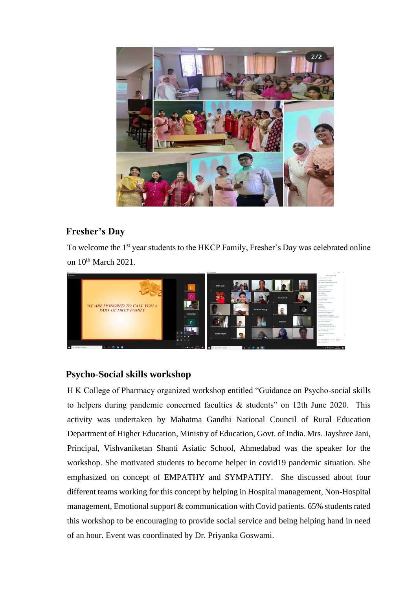

# **Fresher's Day**

To welcome the 1<sup>st</sup> year students to the HKCP Family, Fresher's Day was celebrated online on 10<sup>th</sup> March 2021.



# **Psycho-Social skills workshop**

H K College of Pharmacy organized workshop entitled "Guidance on Psycho-social skills to helpers during pandemic concerned faculties & students" on 12th June 2020. This activity was undertaken by Mahatma Gandhi National Council of Rural Education Department of Higher Education, Ministry of Education, Govt. of India. Mrs. Jayshree Jani, Principal, Vishvaniketan Shanti Asiatic School, Ahmedabad was the speaker for the workshop. She motivated students to become helper in covid19 pandemic situation. She emphasized on concept of EMPATHY and SYMPATHY. She discussed about four different teams working for this concept by helping in Hospital management, Non-Hospital management, Emotional support & communication with Covid patients. 65% students rated this workshop to be encouraging to provide social service and being helping hand in need of an hour. Event was coordinated by Dr. Priyanka Goswami.